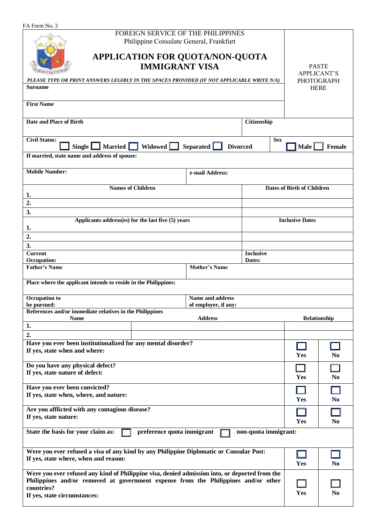| FA Form No. 3 |  |
|---------------|--|
|               |  |

| FA FOIII INO. 3                                                                                                                  |                                                                                                                                                                                      |                      |                                   |                |                       |  |
|----------------------------------------------------------------------------------------------------------------------------------|--------------------------------------------------------------------------------------------------------------------------------------------------------------------------------------|----------------------|-----------------------------------|----------------|-----------------------|--|
|                                                                                                                                  | FOREIGN SERVICE OF THE PHILIPPINES<br>Philippine Consulate General, Frankfurt                                                                                                        |                      |                                   |                |                       |  |
|                                                                                                                                  | <b>APPLICATION FOR QUOTA/NON-QUOTA</b>                                                                                                                                               |                      |                                   |                |                       |  |
|                                                                                                                                  | <b>PASTE</b><br><b>APPLICANT'S</b>                                                                                                                                                   |                      |                                   |                |                       |  |
| PLEASE TYPE OR PRINT ANSWERS LEGIBLY IN THE SPACES PROVIDED (IF NOT APPLICABLE WRITE N/A)<br><b>Surname</b>                      |                                                                                                                                                                                      | <b>PHOTOGRAPH</b>    |                                   |                |                       |  |
|                                                                                                                                  |                                                                                                                                                                                      |                      |                                   | <b>HERE</b>    |                       |  |
| <b>First Name</b>                                                                                                                |                                                                                                                                                                                      |                      |                                   |                |                       |  |
| Date and Place of Birth                                                                                                          |                                                                                                                                                                                      |                      | Citizenship                       |                |                       |  |
| <b>Civil Status:</b>                                                                                                             |                                                                                                                                                                                      |                      | <b>Sex</b>                        |                |                       |  |
| Widowed L<br>Married $\Box$<br>Single  <br>Separated<br><b>Divorced</b>                                                          |                                                                                                                                                                                      |                      |                                   |                | <b>Male</b><br>Female |  |
| If married, state name and address of spouse:                                                                                    |                                                                                                                                                                                      |                      |                                   |                |                       |  |
| <b>Mobile Number:</b><br>e-mail Address:                                                                                         |                                                                                                                                                                                      |                      |                                   |                |                       |  |
| <b>Names of Children</b><br>1.                                                                                                   |                                                                                                                                                                                      |                      | <b>Dates of Birth of Children</b> |                |                       |  |
| 2.                                                                                                                               |                                                                                                                                                                                      |                      |                                   |                |                       |  |
| 3.                                                                                                                               |                                                                                                                                                                                      |                      |                                   |                |                       |  |
| Applicants address(es) for the last five (5) years<br>1.                                                                         |                                                                                                                                                                                      |                      | <b>Inclusive Dates</b>            |                |                       |  |
| $\overline{2}$ .                                                                                                                 |                                                                                                                                                                                      |                      |                                   |                |                       |  |
| 3.                                                                                                                               |                                                                                                                                                                                      |                      |                                   |                |                       |  |
| <b>Current</b><br>Occupation:                                                                                                    |                                                                                                                                                                                      |                      | <b>Inclusive</b><br>Dates:        |                |                       |  |
| <b>Father's Name</b>                                                                                                             |                                                                                                                                                                                      | <b>Mother's Name</b> |                                   |                |                       |  |
|                                                                                                                                  | Place where the applicant intends to reside in the Philippines:                                                                                                                      |                      |                                   |                |                       |  |
| <b>Occupation</b> to                                                                                                             |                                                                                                                                                                                      | Name and address     |                                   |                |                       |  |
| be pursued:                                                                                                                      | References and/or immediate relatives in the Philippines                                                                                                                             | of employer, if any: |                                   |                |                       |  |
| Name<br>1.                                                                                                                       |                                                                                                                                                                                      | <b>Address</b>       |                                   | Relationship   |                       |  |
| $\overline{2}$ .                                                                                                                 |                                                                                                                                                                                      |                      |                                   |                |                       |  |
| Have you ever been institutionalized for any mental disorder?                                                                    |                                                                                                                                                                                      |                      |                                   |                |                       |  |
| If yes, state when and where:                                                                                                    |                                                                                                                                                                                      |                      | Yes                               | N <sub>0</sub> |                       |  |
| Do you have any physical defect?                                                                                                 |                                                                                                                                                                                      |                      |                                   |                |                       |  |
| If yes, state nature of defect:                                                                                                  |                                                                                                                                                                                      |                      |                                   | Yes            | N <sub>0</sub>        |  |
| Have you ever been convicted?                                                                                                    |                                                                                                                                                                                      |                      |                                   |                |                       |  |
| If yes, state when, where, and nature:                                                                                           |                                                                                                                                                                                      |                      |                                   | Yes            | N <sub>0</sub>        |  |
| Are you afflicted with any contagious disease?<br>If yes, state nature:                                                          |                                                                                                                                                                                      |                      |                                   |                |                       |  |
| Yes<br>N <sub>0</sub><br>State the basis for your claim as:<br>preference quota immigrant<br>non-quota immigrant:                |                                                                                                                                                                                      |                      |                                   |                |                       |  |
|                                                                                                                                  |                                                                                                                                                                                      |                      |                                   |                |                       |  |
| Were you ever refused a visa of any kind by any Philippine Diplomatic or Consular Post:<br>If yes, state where, when and reason: |                                                                                                                                                                                      |                      |                                   |                |                       |  |
|                                                                                                                                  |                                                                                                                                                                                      |                      |                                   | Yes            | N <sub>0</sub>        |  |
|                                                                                                                                  | Were you ever refused any kind of Philippine visa, denied admission into, or deported from the<br>Philippines and/or removed at government expense from the Philippines and/or other |                      |                                   |                |                       |  |
| countries?<br>Yes                                                                                                                |                                                                                                                                                                                      |                      |                                   |                | N <sub>0</sub>        |  |
| If yes, state circumstances:                                                                                                     |                                                                                                                                                                                      |                      |                                   |                |                       |  |